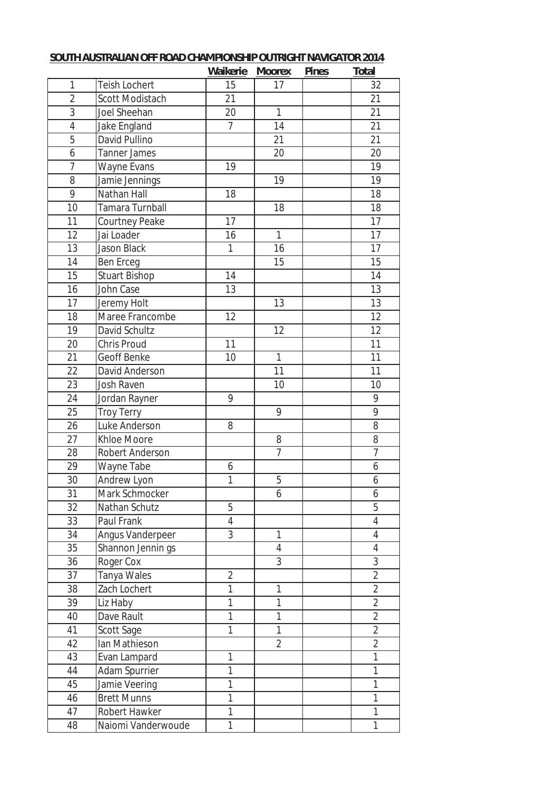|                 |                      | Waikerie       | <b>Moorex</b>  | <b>Pines</b> | <b>Total</b>    |
|-----------------|----------------------|----------------|----------------|--------------|-----------------|
| 1               | Teish Lochert        | 15             | 17             |              | 32              |
| $\overline{2}$  | Scott Modistach      | 21             |                |              | 21              |
| $\overline{3}$  | Joel Sheehan         | 20             | $\mathbf{1}$   |              | 21              |
| $\overline{4}$  | Jake England         | $\overline{7}$ | 14             |              | 21              |
| $\overline{5}$  | David Pullino        |                | 21             |              | 21              |
| 6               | <b>Tanner James</b>  |                | 20             |              | 20              |
| $\overline{7}$  | Wayne Evans          | 19             |                |              | 19              |
| 8               | Jamie Jennings       |                | 19             |              | 19              |
| $\overline{9}$  | Nathan Hall          | 18             |                |              | 18              |
| 10              | Tamara Turnball      |                | 18             |              | 18              |
| $\overline{11}$ | Courtney Peake       | 17             |                |              | $\overline{17}$ |
| 12              | Jai Loader           | 16             | $\overline{1}$ |              | 17              |
| 13              | Jason Black          | 1              | 16             |              | 17              |
| 14              | <b>Ben Erceg</b>     |                | 15             |              | 15              |
| 15              | <b>Stuart Bishop</b> | 14             |                |              | 14              |
| 16              | <b>John Case</b>     | 13             |                |              | $\overline{13}$ |
| 17              | Jeremy Holt          |                | 13             |              | 13              |
| 18              | Maree Francombe      | 12             |                |              | 12              |
| 19              | David Schultz        |                | 12             |              | 12              |
| 20              | Chris Proud          | 11             |                |              | 11              |
| 21              | Geoff Benke          | 10             | $\mathbf{1}$   |              | 11              |
| 22              | David Anderson       |                | 11             |              | 11              |
| 23              | Josh Raven           |                | 10             |              | 10              |
| 24              | Jordan Rayner        | 9              |                |              | 9               |
| 25              | <b>Troy Terry</b>    |                | 9              |              | 9               |
| 26              | Luke Anderson        | 8              |                |              | 8               |
| 27              | Khloe Moore          |                | 8              |              | 8               |
| 28              | Robert Anderson      |                | $\overline{7}$ |              | $\overline{7}$  |
| 29              | Wayne Tabe           | 6              |                |              | 6               |
| 30              | Andrew Lyon          | 1              | 5              |              | 6               |
| 31              | Mark Schmocker       |                | 6              |              | 6               |
| 32              | Nathan Schutz        | 5              |                |              | 5               |
| 33              | Paul Frank           | $\overline{4}$ |                |              | $\overline{4}$  |
| 34              | Angus Vanderpeer     | 3              | $\mathbf{1}$   |              | $\overline{4}$  |
| 35              | Shannon Jennin gs    |                | $\overline{4}$ |              | $\overline{4}$  |
| 36              | Roger Cox            |                | $\overline{3}$ |              | $\overline{3}$  |
| 37              | Tanya Wales          | $\overline{2}$ |                |              | $\overline{2}$  |
| 38              | Zach Lochert         | 1              | $\mathbf{1}$   |              | $\overline{2}$  |
| 39              | Liz Haby             | 1              | $\mathbf{1}$   |              | $\overline{2}$  |
| 40              | Dave Rault           | $\mathbf{1}$   | 1              |              | $\overline{2}$  |
| 41              | Scott Sage           | 1              | $\mathbf{1}$   |              | $\overline{2}$  |
| 42              | Ian Mathieson        |                | $\overline{2}$ |              | $\overline{2}$  |
| 43              | Evan Lampard         | 1              |                |              | $\mathbf{1}$    |
| 44              | Adam Spurrier        | $\mathbf{1}$   |                |              | $\mathbf{1}$    |
| 45              | Jamie Veering        | 1              |                |              | 1               |
| 46              | <b>Brett Munns</b>   | 1              |                |              | 1               |
| 47              | Robert Hawker        | $\mathbf{1}$   |                |              | 1               |
| 48              | Naiomi Vanderwoude   | $\mathbf{1}$   |                |              | 1               |

## **SOUTH AUSTRALIAN OFF ROAD CHAMPIONSHIP OUTRIGHT NAVIGATOR 2014**